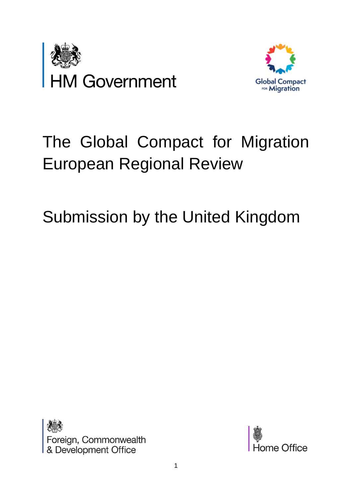



# The Global Compact for Migration European Regional Review

# Submission by the United Kingdom



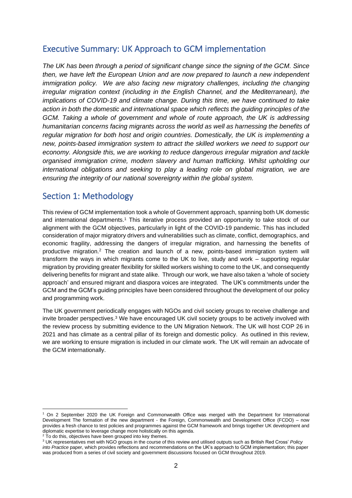## Executive Summary: UK Approach to GCM implementation

*The UK has been through a period of significant change since the signing of the GCM. Since then, we have left the European Union and are now prepared to launch a new independent immigration policy. We are also facing new migratory challenges, including the changing irregular migration context (including in the English Channel, and the Mediterranean), the implications of COVID-19 and climate change. During this time, we have continued to take action in both the domestic and international space which reflects the guiding principles of the GCM. Taking a whole of government and whole of route approach, the UK is addressing humanitarian concerns facing migrants across the world as well as harnessing the benefits of regular migration for both host and origin countries. Domestically, the UK is implementing a new, points-based immigration system to attract the skilled workers we need to support our economy. Alongside this, we are working to reduce dangerous irregular migration and tackle organised immigration crime, modern slavery and human trafficking. Whilst upholding our international obligations and seeking to play a leading role on global migration, we are ensuring the integrity of our national sovereignty within the global system.*

### Section 1: Methodology

This review of GCM implementation took a whole of Government approach, spanning both UK domestic and international departments. <sup>1</sup> This iterative process provided an opportunity to take stock of our alignment with the GCM objectives, particularly in light of the COVID-19 pandemic. This has included consideration of major migratory drivers and vulnerabilities such as climate, conflict, demographics, and economic fragility, addressing the dangers of irregular migration, and harnessing the benefits of productive migration.<sup>2</sup> The creation and launch of a new, points-based immigration system will transform the ways in which migrants come to the UK to live, study and work – supporting regular migration by providing greater flexibility for skilled workers wishing to come to the UK, and consequently delivering benefits for migrant and state alike. Through our work, we have also taken a 'whole of society approach' and ensured migrant and diaspora voices are integrated. The UK's commitments under the GCM and the GCM's guiding principles have been considered throughout the development of our policy and programming work.

The UK government periodically engages with NGOs and civil society groups to receive challenge and invite broader perspectives.<sup>3</sup> We have encouraged UK civil society groups to be actively involved with the review process by submitting evidence to the UN Migration Network. The UK will host COP 26 in 2021 and has climate as a central pillar of its foreign and domestic policy. As outlined in this review, we are working to ensure migration is included in our climate work. The UK will remain an advocate of the GCM internationally.

<sup>2</sup> To do this, objectives have been grouped into key themes.

<sup>1</sup> On 2 September 2020 the UK Foreign and Commonwealth Office was merged with the Department for International Development The formation of the new department - the Foreign, Commonwealth and Development Office (FCDO) – now provides a fresh chance to test policies and programmes against the GCM framework and brings together UK development and diplomatic expertise to leverage change more holistically on this agenda.

<sup>3</sup> UK representatives met with NGO groups in the course of this review and utilised outputs such as British Red Cross' *Policy into Practice* paper, which provides reflections and recommendations on the UK's approach to GCM implementation; this paper was produced from a series of civil society and government discussions focused on GCM throughout 2019.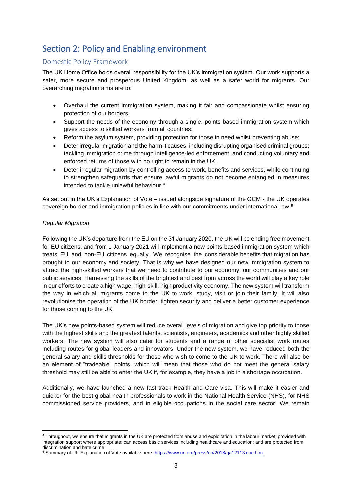# Section 2: Policy and Enabling environment

#### Domestic Policy Framework

The UK Home Office holds overall responsibility for the UK's immigration system. Our work supports a safer, more secure and prosperous United Kingdom, as well as a safer world for migrants. Our overarching migration aims are to:

- Overhaul the current immigration system, making it fair and compassionate whilst ensuring protection of our borders;
- Support the needs of the economy through a single, points-based immigration system which gives access to skilled workers from all countries;
- Reform the asylum system, providing protection for those in need whilst preventing abuse;
- Deter irregular migration and the harm it causes, including disrupting organised criminal groups; tackling immigration crime through intelligence-led enforcement, and conducting voluntary and enforced returns of those with no right to remain in the UK.
- Deter irregular migration by controlling access to work, benefits and services, while continuing to strengthen safeguards that ensure lawful migrants do not become entangled in measures intended to tackle unlawful behaviour. 4

As set out in the UK's Explanation of Vote – issued alongside signature of the GCM - the UK operates sovereign border and immigration policies in line with our commitments under international law.<sup>5</sup>

#### *Regular Migration*

Following the UK's departure from the EU on the 31 January 2020, the UK will be ending free movement for EU citizens, and from 1 January 2021 will implement a new points-based immigration system which treats EU and non-EU citizens equally. We recognise the considerable benefits that migration has brought to our economy and society. That is why we have designed our new immigration system to attract the high-skilled workers that we need to contribute to our economy, our communities and our public services. Harnessing the skills of the brightest and best from across the world will play a key role in our efforts to create a high wage, high-skill, high productivity economy. The new system will transform the way in which all migrants come to the UK to work, study, visit or join their family. It will also revolutionise the operation of the UK border, tighten security and deliver a better customer experience for those coming to the UK.

The UK's new points-based system will reduce overall levels of migration and give top priority to those with the highest skills and the greatest talents: scientists, engineers, academics and other highly skilled workers. The new system will also cater for students and a range of other specialist work routes including routes for global leaders and innovators. Under the new system, we have reduced both the general salary and skills thresholds for those who wish to come to the UK to work. There will also be an element of "tradeable" points, which will mean that those who do not meet the general salary threshold may still be able to enter the UK if, for example, they have a job in a shortage occupation.

Additionally, we have launched a new fast-track Health and Care visa. This will make it easier and quicker for the best global health professionals to work in the National Health Service (NHS), for NHS commissioned service providers, and in eligible occupations in the social care sector. We remain

<sup>4</sup> Throughout, we ensure that migrants in the UK are protected from abuse and exploitation in the labour market; provided with integration support where appropriate; can access basic services including healthcare and education; and are protected from discrimination and hate crime.

<sup>&</sup>lt;sup>5</sup> Summary of UK Explanation of Vote available here[: https://www.un.org/press/en/2018/ga12113.doc.htm](https://www.un.org/press/en/2018/ga12113.doc.htm)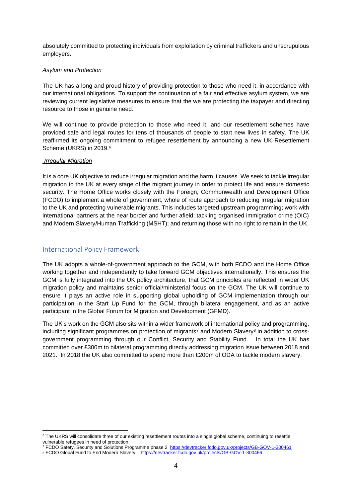absolutely committed to protecting individuals from exploitation by criminal traffickers and unscrupulous employers.

#### *Asylum and Protection*

The UK has a long and proud history of providing protection to those who need it, in accordance with our international obligations. To support the continuation of a fair and effective asylum system, we are reviewing current legislative measures to ensure that the we are protecting the taxpayer and directing resource to those in genuine need.

We will continue to provide protection to those who need it, and our resettlement schemes have provided safe and legal routes for tens of thousands of people to start new lives in safety. The UK reaffirmed its ongoing commitment to refugee resettlement by announcing a new UK Resettlement Scheme (UKRS) in 2019.<sup>6</sup>

#### *Irregular Migration*

It is a core UK objective to reduce irregular migration and the harm it causes. We seek to tackle irregular migration to the UK at every stage of the migrant journey in order to protect life and ensure domestic security. The Home Office works closely with the Foreign, Commonwealth and Development Office (FCDO) to implement a whole of government, whole of route approach to reducing irregular migration to the UK and protecting vulnerable migrants. This includes targeted upstream programming; work with international partners at the near border and further afield; tackling organised immigration crime (OIC) and Modern Slavery/Human Trafficking (MSHT); and returning those with no right to remain in the UK.

#### International Policy Framework

The UK adopts a whole-of-government approach to the GCM, with both FCDO and the Home Office working together and independently to take forward GCM objectives internationally. This ensures the GCM is fully integrated into the UK policy architecture, that GCM principles are reflected in wider UK migration policy and maintains senior official/ministerial focus on the GCM. The UK will continue to ensure it plays an active role in supporting global upholding of GCM implementation through our participation in the Start Up Fund for the GCM, through bilateral engagement, and as an active participant in the Global Forum for Migration and Development (GFMD).

The UK's work on the GCM also sits within a wider framework of international policy and programming, including significant programmes on protection of migrants<sup>7</sup> and Modern Slavery<sup>8</sup> in addition to crossgovernment programming through our Conflict, Security and Stability Fund. In total the UK has committed over £300m to bilateral programming directly addressing migration issue between 2018 and 2021. In 2018 the UK also committed to spend more than £200m of ODA to tackle modern slavery.

<sup>&</sup>lt;sup>6</sup> The UKRS will consolidate three of our existing resettlement routes into a single global scheme, continuing to resettle vulnerable refugees in need of protection.

<sup>&</sup>lt;sup>7</sup> FCDO Safety, Security and Solutions Programme phase 2 <https://devtracker.fcdo.gov.uk/projects/GB-GOV-1-300461> <sup>8</sup> FCDO Global Fund to End Modern Slavery <https://devtracker.fcdo.gov.uk/projects/GB-GOV-1-300466>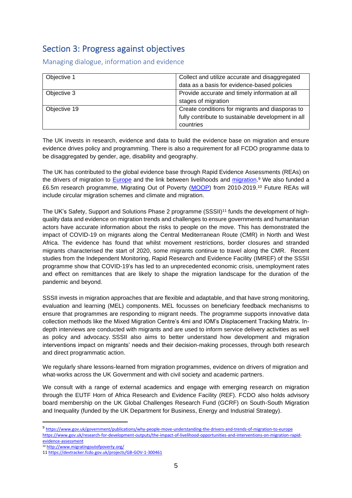## Section 3: Progress against objectives

Managing dialogue, information and evidence

| Objective 1  | Collect and utilize accurate and disaggregated     |
|--------------|----------------------------------------------------|
|              | data as a basis for evidence-based policies        |
| Objective 3  | Provide accurate and timely information at all     |
|              | stages of migration                                |
| Objective 19 | Create conditions for migrants and diasporas to    |
|              | fully contribute to sustainable development in all |
|              | countries                                          |

The UK invests in research, evidence and data to build the evidence base on migration and ensure evidence drives policy and programming. There is also a requirement for all FCDO programme data to be disaggregated by gender, age, disability and geography.

The UK has contributed to the global evidence base through Rapid Evidence Assessments (REAs) on the drivers of migration to [Europe](https://eur02.safelinks.protection.outlook.com/?url=https%3A%2F%2Fwww.gov.uk%2Fgovernment%2Fpublications%2Fwhy-people-move-understanding-the-drivers-and-trends-of-migration-to-europe&data=02%7C01%7CJoseph-Robertson%40dfid.gov.uk%7C7132e32b3e5b43bbb48408d84a751e59%7Ccdf709af1a184c74bd936d14a64d73b3%7C0%7C0%7C637341214167260623&sdata=4a%2BpNAoQseDxw50EZ1ve2EshNcyAFvnGL1%2FbYd8GTN8%3D&reserved=0) and the link between livelihoods and [migration.](https://eur02.safelinks.protection.outlook.com/?url=https%3A%2F%2Fwww.gov.uk%2Fdfid-research-outputs%2Fthe-impact-of-livelihood-opportunities-and-interventions-on-migration-rapid-evidence-assessment&data=02%7C01%7CJoseph-Robertson%40dfid.gov.uk%7C7132e32b3e5b43bbb48408d84a751e59%7Ccdf709af1a184c74bd936d14a64d73b3%7C0%7C0%7C637341214167270580&sdata=ydPivNzT0QEIxWF%2B%2F2Cw7TaaaA5mGTMshBvBXBdDc4A%3D&reserved=0)<sup>9</sup> We also funded a £6.5m research programme, Migrating Out of Poverty [\(MOOP\)](https://eur02.safelinks.protection.outlook.com/?url=http%3A%2F%2Fwww.migratingoutofpoverty.org%2F&data=02%7C01%7CJoseph-Robertson%40dfid.gov.uk%7C7132e32b3e5b43bbb48408d84a751e59%7Ccdf709af1a184c74bd936d14a64d73b3%7C0%7C0%7C637341214167270580&sdata=syqtp%2Fq62KxRgsURlqvD95qHiLp4YM3Y4xYQ5QtRh5g%3D&reserved=0) from 2010-2019.<sup>10</sup> Future REAs will include circular migration schemes and climate and migration.

The UK's Safety, Support and Solutions Phase 2 programme (SSSII)<sup>11</sup> funds the development of highquality data and evidence on migration trends and challenges to ensure governments and humanitarian actors have accurate information about the risks to people on the move. This has demonstrated the impact of COVID-19 on migrants along the Central Mediterranean Route (CMR) in North and West Africa. The evidence has found that whilst movement restrictions, border closures and stranded migrants characterised the start of 2020, some migrants continue to travel along the CMR. Recent studies from the Independent Monitoring, Rapid Research and Evidence Facility (IMREF) of the SSSII programme show that COVID-19's has led to an unprecedented economic crisis, unemployment rates and effect on remittances that are likely to shape the migration landscape for the duration of the pandemic and beyond.

SSSII invests in migration approaches that are flexible and adaptable, and that have strong monitoring, evaluation and learning (MEL) components. MEL focusses on beneficiary feedback mechanisms to ensure that programmes are responding to migrant needs. The programme supports innovative data collection methods like the Mixed Migration Centre's 4mi and IOM's Displacement Tracking Matrix. Indepth interviews are conducted with migrants and are used to inform service delivery activities as well as policy and advocacy. SSSII also aims to better understand how development and migration interventions impact on migrants' needs and their decision-making processes, through both research and direct programmatic action.

We regularly share lessons-learned from migration programmes, evidence on drivers of migration and what-works across the UK Government and with civil society and academic partners.

We consult with a range of external academics and engage with emerging research on migration through the EUTF Horn of Africa Research and Evidence Facility (REF). FCDO also holds advisory board membership on the UK Global Challenges Research Fund (GCRF) on South-South Migration and Inequality (funded by the UK Department for Business, Energy and Industrial Strategy).

<sup>10</sup> <http://www.migratingoutofpoverty.org/>

<sup>9</sup> <https://www.gov.uk/government/publications/why-people-move-understanding-the-drivers-and-trends-of-migration-to-europe> [https://www.gov.uk/research-for-development-outputs/the-impact-of-livelihood-opportunities-and-interventions-on-migration-rapid](https://www.gov.uk/research-for-development-outputs/the-impact-of-livelihood-opportunities-and-interventions-on-migration-rapid-evidence-assessment)[evidence-assessment](https://www.gov.uk/research-for-development-outputs/the-impact-of-livelihood-opportunities-and-interventions-on-migration-rapid-evidence-assessment)

<sup>11</sup> <https://devtracker.fcdo.gov.uk/projects/GB-GOV-1-300461>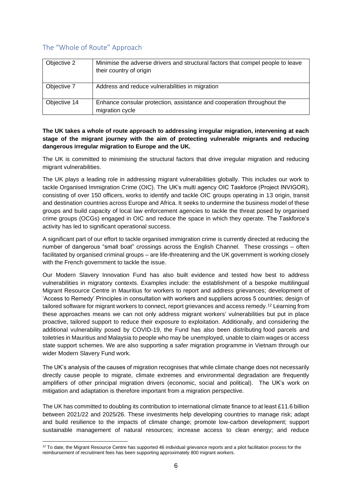#### The "Whole of Route" Approach

| Objective 2  | Minimise the adverse drivers and structural factors that compel people to leave<br>their country of origin |
|--------------|------------------------------------------------------------------------------------------------------------|
| Objective 7  | Address and reduce vulnerabilities in migration                                                            |
| Objective 14 | Enhance consular protection, assistance and cooperation throughout the<br>migration cycle                  |

**The UK takes a whole of route approach to addressing irregular migration, intervening at each stage of the migrant journey with the aim of protecting vulnerable migrants and reducing dangerous irregular migration to Europe and the UK.** 

The UK is committed to minimising the structural factors that drive irregular migration and reducing migrant vulnerabilities.

The UK plays a leading role in addressing migrant vulnerabilities globally. This includes our work to tackle Organised Immigration Crime (OIC). The UK's multi agency OIC Taskforce (Project INVIGOR), consisting of over 150 officers, works to identify and tackle OIC groups operating in 13 origin, transit and destination countries across Europe and Africa. It seeks to undermine the business model of these groups and build capacity of local law enforcement agencies to tackle the threat posed by organised crime groups (OCGs) engaged in OIC and reduce the space in which they operate. The Taskforce's activity has led to significant operational success.

A significant part of our effort to tackle organised immigration crime is currently directed at reducing the number of dangerous "small boat" crossings across the English Channel. These crossings – often facilitated by organised criminal groups – are life-threatening and the UK government is working closely with the French government to tackle the issue.

Our Modern Slavery Innovation Fund has also built evidence and tested how best to address vulnerabilities in migratory contexts. Examples include: the establishment of a bespoke multilingual Migrant Resource Centre in Mauritius for workers to report and address grievances; development of 'Access to Remedy' Principles in consultation with workers and suppliers across 5 countries; design of tailored software for migrant workers to connect, report grievances and access remedy.<sup>12</sup> Learning from these approaches means we can not only address migrant workers' vulnerabilities but put in place proactive, tailored support to reduce their exposure to exploitation. Additionally, and considering the additional vulnerability posed by COVID-19, the Fund has also been distributing food parcels and toiletries in Mauritius and Malaysia to people who may be unemployed, unable to claim wages or access state support schemes. We are also supporting a safer migration programme in Vietnam through our wider Modern Slavery Fund work.

The UK's analysis of the causes of migration recognises that while climate change does not necessarily directly cause people to migrate, climate extremes and environmental degradation are frequently amplifiers of other principal migration drivers (economic, social and political). The UK's work on mitigation and adaptation is therefore important from a migration perspective.

The UK has committed to doubling its contribution to international climate finance to at least £11.6 billion between 2021/22 and 2025/26. These investments help developing countries to manage risk; adapt and build resilience to the impacts of climate change; promote low-carbon development; support sustainable management of natural resources; increase access to clean energy; and reduce

<sup>&</sup>lt;sup>12</sup> To date, the Migrant Resource Centre has supported 46 individual grievance reports and a pilot facilitation process for the reimbursement of recruitment fees has been supporting approximately 800 migrant workers.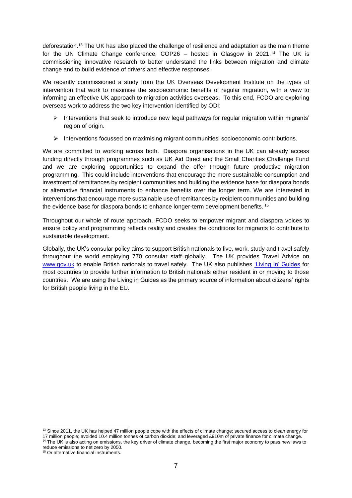deforestation.<sup>13</sup> The UK has also placed the challenge of resilience and adaptation as the main theme for the UN Climate Change conference, COP26 – hosted in Glasgow in 2021.<sup>14</sup> The UK is commissioning innovative research to better understand the links between migration and climate change and to build evidence of drivers and effective responses.

We recently commissioned a study from the UK Overseas Development Institute on the types of intervention that work to maximise the socioeconomic benefits of regular migration, with a view to informing an effective UK approach to migration activities overseas. To this end, FCDO are exploring overseas work to address the two key intervention identified by ODI:

- $\triangleright$  Interventions that seek to introduce new legal pathways for regular migration within migrants' region of origin.
- ➢ Interventions focussed on maximising migrant communities' socioeconomic contributions.

We are committed to working across both. Diaspora organisations in the UK can already access funding directly through programmes such as UK Aid Direct and the Small Charities Challenge Fund and we are exploring opportunities to expand the offer through future productive migration programming. This could include interventions that encourage the more sustainable consumption and investment of remittances by recipient communities and building the evidence base for diaspora bonds or alternative financial instruments to enhance benefits over the longer term*.* We are interested in interventions that encourage more sustainable use of remittances by recipient communities and building the evidence base for diaspora bonds to enhance longer-term development benefits. 15

Throughout our whole of route approach, FCDO seeks to empower migrant and diaspora voices to ensure policy and programming reflects reality and creates the conditions for migrants to contribute to sustainable development.

Globally, the UK's consular policy aims to support British nationals to live, work, study and travel safely throughout the world employing 770 consular staff globally. The UK provides Travel Advice on [www.gov.uk](https://eur02.safelinks.protection.outlook.com/?url=http%3A%2F%2Fwww.gov.uk%2F&data=02%7C01%7CJoseph-Robertson%40dfid.gov.uk%7C4f230c4a12b445e9438608d84ab22cdd%7Ccdf709af1a184c74bd936d14a64d73b3%7C0%7C0%7C637341476559256952&sdata=7vc1MiELodamKBNvPEhQM61JW4ctazfAE%2B2J%2Byac5o4%3D&reserved=0) to enable British nationals to travel safely. The UK also publishes ['Living In' Guides](https://eur02.safelinks.protection.outlook.com/?url=https%3A%2F%2Fwww.gov.uk%2Fgovernment%2Fcollections%2Foverseas-living-in-guides&data=02%7C01%7CJoseph-Robertson%40dfid.gov.uk%7C4f230c4a12b445e9438608d84ab22cdd%7Ccdf709af1a184c74bd936d14a64d73b3%7C0%7C0%7C637341476559256952&sdata=yol08xmrTsv5IqPNpyf2RM2%2Fl11NQytYikK50UtSaLY%3D&reserved=0) for most countries to provide further information to British nationals either resident in or moving to those countries. We are using the Living in Guides as the primary source of information about citizens' rights for British people living in the EU.

<sup>&</sup>lt;sup>13</sup> Since 2011, the UK has helped 47 million people cope with the effects of climate change; secured access to clean energy for 17 million people; avoided 10.4 million tonnes of carbon dioxide; and leveraged £910m of private finance for climate change. <sup>14</sup> The UK is also acting on emissions, the key driver of climate change, becoming the first major economy to pass new laws to

reduce emissions to net zero by 2050.

<sup>&</sup>lt;sup>15</sup> Or alternative financial instruments.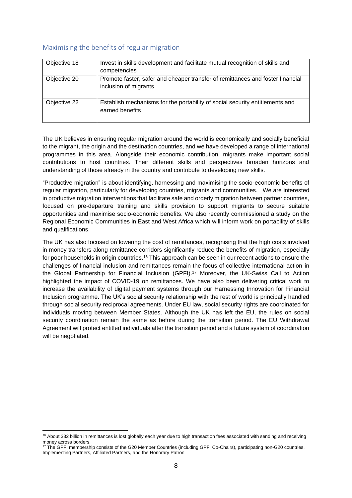#### Maximising the benefits of regular migration

| Objective 18 | Invest in skills development and facilitate mutual recognition of skills and<br>competencies            |
|--------------|---------------------------------------------------------------------------------------------------------|
| Objective 20 | Promote faster, safer and cheaper transfer of remittances and foster financial<br>inclusion of migrants |
| Objective 22 | Establish mechanisms for the portability of social security entitlements and<br>earned benefits         |

The UK believes in ensuring regular migration around the world is economically and socially beneficial to the migrant, the origin and the destination countries, and we have developed a range of international programmes in this area. Alongside their economic contribution, migrants make important social contributions to host countries. Their different skills and perspectives broaden horizons and understanding of those already in the country and contribute to developing new skills.

"Productive migration" is about identifying, harnessing and maximising the socio-economic benefits of regular migration, particularly for developing countries, migrants and communities. We are interested in productive migration interventions that facilitate safe and orderly migration between partner countries, focused on pre-departure training and skills provision to support migrants to secure suitable opportunities and maximise socio-economic benefits. We also recently commissioned a study on the Regional Economic Communities in East and West Africa which will inform work on portability of skills and qualifications.

The UK has also focused on lowering the cost of remittances, recognising that the high costs involved in money transfers along remittance corridors significantly reduce the benefits of migration, especially for poor households in origin countries.<sup>16</sup> This approach can be seen in our recent actions to ensure the challenges of financial inclusion and remittances remain the focus of collective international action in the Global Partnership for Financial Inclusion (GPFI). <sup>17</sup> Moreover, the UK-Swiss Call to Action highlighted the impact of COVID-19 on remittances. We have also been delivering critical work to increase the availability of digital payment systems through our Harnessing Innovation for Financial Inclusion programme. The UK's social security relationship with the rest of world is principally handled through social security reciprocal agreements. Under EU law, social security rights are coordinated for individuals moving between Member States. Although the UK has left the EU, the rules on social security coordination remain the same as before during the transition period. The EU Withdrawal Agreement will protect entitled individuals after the transition period and a future system of coordination will be negotiated.

<sup>&</sup>lt;sup>16</sup> About \$32 billion in remittances is lost globally each year due to high transaction fees associated with sending and receiving money across borders.

<sup>&</sup>lt;sup>17</sup> The GPFI membership consists of the G20 Member Countries (including GPFI Co-Chairs), participating non-G20 countries, Implementing Partners, Affiliated Partners, and the Honorary Patron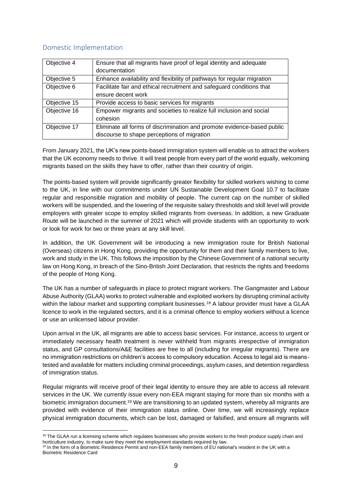#### Domestic Implementation

| Objective 4  | Ensure that all migrants have proof of legal identity and adequate      |
|--------------|-------------------------------------------------------------------------|
|              | documentation                                                           |
| Objective 5  | Enhance availability and flexibility of pathways for regular migration  |
| Objective 6  | Facilitate fair and ethical recruitment and safeguard conditions that   |
|              | ensure decent work                                                      |
| Objective 15 | Provide access to basic services for migrants                           |
| Objective 16 | Empower migrants and societies to realize full inclusion and social     |
|              | cohesion                                                                |
| Objective 17 | Eliminate all forms of discrimination and promote evidence-based public |
|              | discourse to shape perceptions of migration                             |

From January 2021, the UK's new points-based immigration system will enable us to attract the workers that the UK economy needs to thrive. It will treat people from every part of the world equally, welcoming migrants based on the skills they have to offer, rather than their country of origin.

The points-based system will provide significantly greater flexibility for skilled workers wishing to come to the UK, in line with our commitments under UN Sustainable Development Goal 10.7 to facilitate regular and responsible migration and mobility of people. The current cap on the number of skilled workers will be suspended, and the lowering of the requisite salary thresholds and skill level will provide employers with greater scope to employ skilled migrants from overseas. In addition, a new Graduate Route will be launched in the summer of 2021 which will provide students with an opportunity to work or look for work for two or three years at any skill level.

In addition, the UK Government will be introducing a new immigration route for British National (Overseas) citizens in Hong Kong, providing the opportunity for them and their family members to live, work and study in the UK. This follows the imposition by the Chinese Government of a national security law on Hong Kong, in breach of the Sino-British Joint Declaration, that restricts the rights and freedoms of the people of Hong Kong.

The UK has a number of safeguards in place to protect migrant workers. The Gangmaster and Labour Abuse Authority (GLAA) works to protect vulnerable and exploited workers by disrupting criminal activity within the labour market and supporting compliant businesses.<sup>18</sup> A labour provider must have a GLAA licence to work in the regulated sectors, and it is a criminal offence to employ workers without a licence or use an unlicensed labour provider.

Upon arrival in the UK, all migrants are able to access basic services. For instance, access to urgent or immediately necessary health treatment is never withheld from migrants irrespective of immigration status, and GP consultations/A&E facilities are free to all (including for irregular migrants). There are no immigration restrictions on children's access to compulsory education. Access to legal aid is meanstested and available for matters including criminal proceedings, asylum cases, and detention regardless of immigration status.

Regular migrants will receive proof of their legal identity to ensure they are able to access all relevant services in the UK. We currently issue every non-EEA migrant staying for more than six months with a biometric immigration document.<sup>19</sup> We are transitioning to an updated system, whereby all migrants are provided with evidence of their immigration status online. Over time, we will increasingly replace physical immigration documents, which can be lost, damaged or falsified, and ensure all migrants will

<sup>&</sup>lt;sup>18</sup> The GLAA run a licensing scheme which regulates businesses who provide workers to the fresh produce supply chain and horticulture industry, to make sure they meet the employment standards required by law.

<sup>&</sup>lt;sup>19</sup> In the form of a Biometric Residence Permit and non-EEA family members of EU national's resident in the UK with a Biometric Residence Card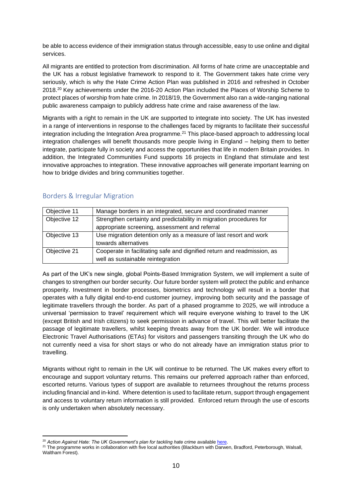be able to access evidence of their immigration status through accessible, easy to use online and digital services.

All migrants are entitled to protection from discrimination. All forms of hate crime are unacceptable and the UK has a robust legislative framework to respond to it. The Government takes hate crime very seriously, which is why the Hate Crime Action Plan was published in 2016 and refreshed in October 2018.<sup>20</sup> Key achievements under the 2016-20 Action Plan included the Places of Worship Scheme to protect places of worship from hate crime. In 2018/19, the Government also ran a wide-ranging national public awareness campaign to publicly address hate crime and raise awareness of the law.

Migrants with a right to remain in the UK are supported to integrate into society. The UK has invested in a range of interventions in response to the challenges faced by migrants to facilitate their successful integration including the Integration Area programme.<sup>21</sup> This place-based approach to addressing local integration challenges will benefit thousands more people living in England – helping them to better integrate, participate fully in society and access the opportunities that life in modern Britain provides. In addition, the Integrated Communities Fund supports 16 projects in England that stimulate and test innovative approaches to integration. These innovative approaches will generate important learning on how to bridge divides and bring communities together.

| Objective 11 | Manage borders in an integrated, secure and coordinated manner          |  |
|--------------|-------------------------------------------------------------------------|--|
| Objective 12 | Strengthen certainty and predictability in migration procedures for     |  |
|              | appropriate screening, assessment and referral                          |  |
| Objective 13 | Use migration detention only as a measure of last resort and work       |  |
|              | towards alternatives                                                    |  |
| Objective 21 | Cooperate in facilitating safe and dignified return and readmission, as |  |
|              | well as sustainable reintegration                                       |  |

#### Borders & Irregular Migration

As part of the UK's new single, global Points-Based Immigration System, we will implement a suite of changes to strengthen our border security. Our future border system will protect the public and enhance prosperity. Investment in border processes, biometrics and technology will result in a border that operates with a fully digital end-to-end customer journey, improving both security and the passage of legitimate travellers through the border. As part of a phased programme to 2025, we will introduce a universal 'permission to travel' requirement which will require everyone wishing to travel to the UK (except British and Irish citizens) to seek permission in advance of travel. This will better facilitate the passage of legitimate travellers, whilst keeping threats away from the UK border. We will introduce Electronic Travel Authorisations (ETAs) for visitors and passengers transiting through the UK who do not currently need a visa for short stays or who do not already have an immigration status prior to travelling.

Migrants without right to remain in the UK will continue to be returned. The UK makes every effort to encourage and support voluntary returns. This remains our preferred approach rather than enforced, escorted returns. Various types of support are available to returnees throughout the returns process including financial and in-kind. Where detention is used to facilitate return, support through engagement and access to voluntary return information is still provided. Enforced return through the use of escorts is only undertaken when absolutely necessary.

<sup>&</sup>lt;sup>20</sup> Action Against Hate: The UK Government's plan for tackling hate crime available here.

<sup>&</sup>lt;sup>21</sup> The programme works in collaboration with five local authorities (Blackburn with Darwen, Bradford, Peterborough, Walsall, Waltham Forest).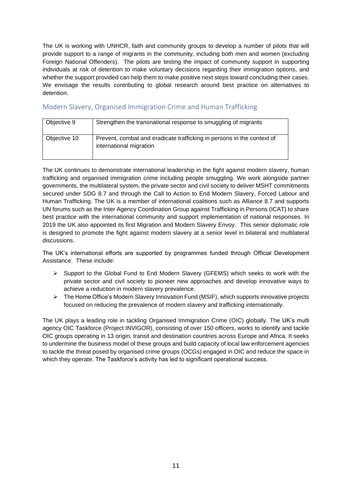The UK is working with UNHCR, faith and community groups to develop a number of pilots that will provide support to a range of migrants in the community, including both men and women (excluding Foreign National Offenders). The pilots are testing the impact of community support in supporting individuals at risk of detention to make voluntary decisions regarding their immigration options, and whether the support provided can help them to make positive next steps toward concluding their cases. We envisage the results contributing to global research around best practice on alternatives to detention.

#### Modern Slavery, Organised Immigration Crime and Human Trafficking

| Objective 9  | Strengthen the transnational response to smuggling of migrants                                    |
|--------------|---------------------------------------------------------------------------------------------------|
| Objective 10 | Prevent, combat and eradicate trafficking in persons in the context of<br>international migration |

The UK continues to demonstrate international leadership in the fight against modern slavery, human trafficking and organised immigration crime including people smuggling. We work alongside partner governments, the multilateral system, the private sector and civil society to deliver MSHT commitments secured under SDG 8.7 and through the Call to Action to End Modern Slavery, Forced Labour and Human Trafficking. The UK is a member of international coalitions such as Alliance 8.7 and supports UN forums such as the Inter Agency Coordination Group against Trafficking in Persons (ICAT) to share best practice with the international community and support implementation of national responses. In 2019 the UK also appointed its first Migration and Modern Slavery Envoy. This senior diplomatic role is designed to promote the fight against modern slavery at a senior level in bilateral and multilateral discussions.

The UK's international efforts are supported by programmes funded through Official Development Assistance. These include:

- ➢ Support to the Global Fund to End Modern Slavery (GFEMS) which seeks to work with the private sector and civil society to pioneer new approaches and develop innovative ways to achieve a reduction in modern slavery prevalence.
- ➢ The Home Office's Modern Slavery Innovation Fund (MSIF), which supports innovative projects focused on reducing the prevalence of modern slavery and trafficking internationally.

The UK plays a leading role in tackling Organised Immigration Crime (OIC) globally. The UK's multi agency OIC Taskforce (Project INVIGOR), consisting of over 150 officers, works to identify and tackle OIC groups operating in 13 origin, transit and destination countries across Europe and Africa. It seeks to undermine the business model of these groups and build capacity of local law enforcement agencies to tackle the threat posed by organised crime groups (OCGs) engaged in OIC and reduce the space in which they operate. The Taskforce's activity has led to significant operational success.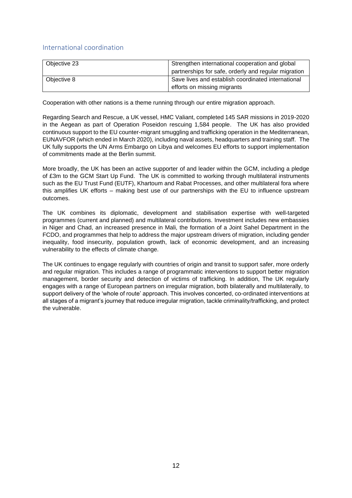#### International coordination

| Objective 23 | Strengthen international cooperation and global<br>partnerships for safe, orderly and regular migration |
|--------------|---------------------------------------------------------------------------------------------------------|
| Objective 8  | Save lives and establish coordinated international<br>efforts on missing migrants                       |

Cooperation with other nations is a theme running through our entire migration approach.

Regarding Search and Rescue, a UK vessel, HMC Valiant, completed 145 SAR missions in 2019-2020 in the Aegean as part of Operation Poseidon rescuing 1,584 people. The UK has also provided continuous support to the EU counter-migrant smuggling and trafficking operation in the Mediterranean, EUNAVFOR (which ended in March 2020), including naval assets, headquarters and training staff. The UK fully supports the UN Arms Embargo on Libya and welcomes EU efforts to support implementation of commitments made at the Berlin summit.

More broadly, the UK has been an active supporter of and leader within the GCM, including a pledge of £3m to the GCM Start Up Fund. The UK is committed to working through multilateral instruments such as the EU Trust Fund (EUTF), Khartoum and Rabat Processes, and other multilateral fora where this amplifies UK efforts – making best use of our partnerships with the EU to influence upstream outcomes.

The UK combines its diplomatic, development and stabilisation expertise with well-targeted programmes (current and planned) and multilateral contributions. Investment includes new embassies in Niger and Chad, an increased presence in Mali, the formation of a Joint Sahel Department in the FCDO, and programmes that help to address the major upstream drivers of migration, including gender inequality, food insecurity, population growth, lack of economic development, and an increasing vulnerability to the effects of climate change.

The UK continues to engage regularly with countries of origin and transit to support safer, more orderly and regular migration. This includes a range of programmatic interventions to support better migration management, border security and detection of victims of trafficking. In addition, The UK regularly engages with a range of European partners on irregular migration, both bilaterally and multilaterally, to support delivery of the 'whole of route' approach. This involves concerted, co-ordinated interventions at all stages of a migrant's journey that reduce irregular migration, tackle criminality/trafficking, and protect the vulnerable.